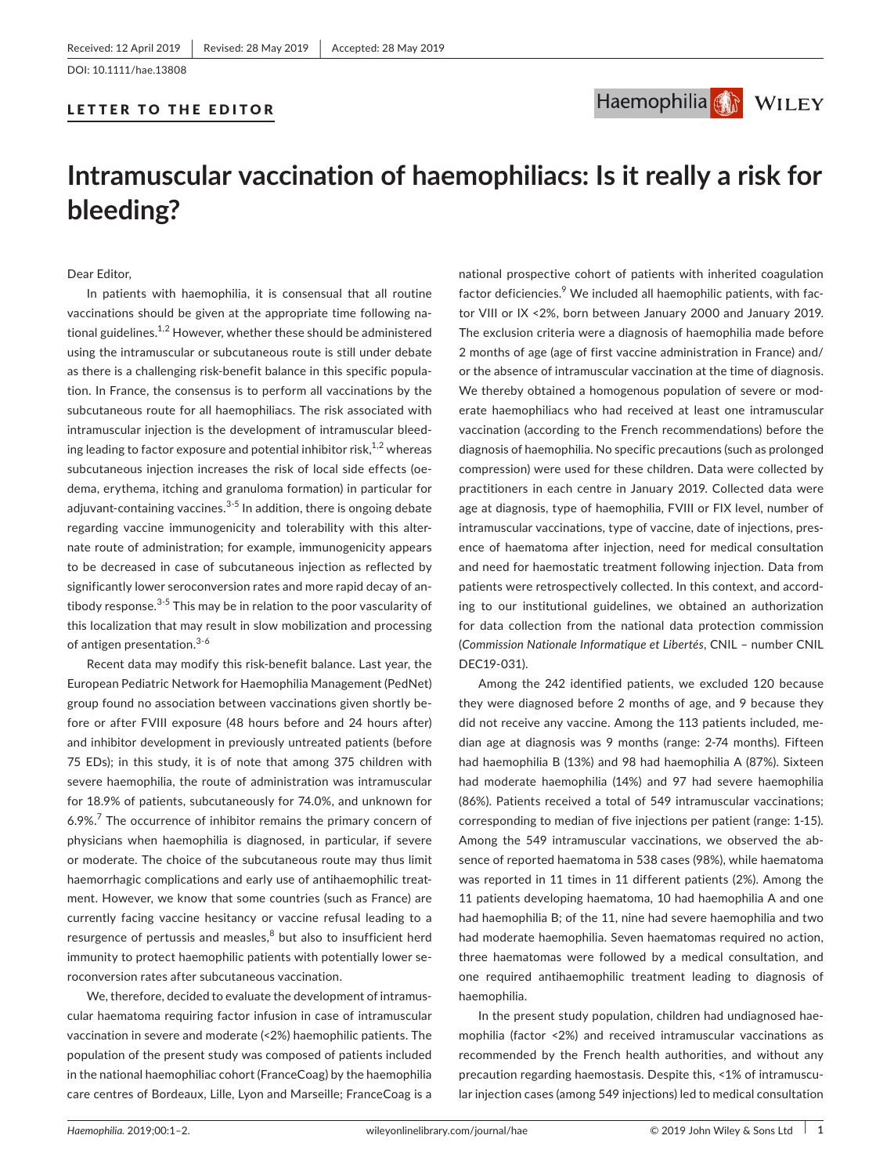## LETTER TO THE EDITOR



# **Intramuscular vaccination of haemophiliacs: Is it really a risk for bleeding?**

Dear Editor,

In patients with haemophilia, it is consensual that all routine vaccinations should be given at the appropriate time following national guidelines. $1,2$  However, whether these should be administered using the intramuscular or subcutaneous route is still under debate as there is a challenging risk‐benefit balance in this specific population. In France, the consensus is to perform all vaccinations by the subcutaneous route for all haemophiliacs. The risk associated with intramuscular injection is the development of intramuscular bleeding leading to factor exposure and potential inhibitor risk, $1,2$  whereas subcutaneous injection increases the risk of local side effects (oedema, erythema, itching and granuloma formation) in particular for adjuvant-containing vaccines. $3-5$  In addition, there is ongoing debate regarding vaccine immunogenicity and tolerability with this alternate route of administration; for example, immunogenicity appears to be decreased in case of subcutaneous injection as reflected by significantly lower seroconversion rates and more rapid decay of antibody response. $3-5$  This may be in relation to the poor vascularity of this localization that may result in slow mobilization and processing of antigen presentation.<sup>3-6</sup>

Recent data may modify this risk‐benefit balance. Last year, the European Pediatric Network for Haemophilia Management (PedNet) group found no association between vaccinations given shortly before or after FVIII exposure (48 hours before and 24 hours after) and inhibitor development in previously untreated patients (before 75 EDs); in this study, it is of note that among 375 children with severe haemophilia, the route of administration was intramuscular for 18.9% of patients, subcutaneously for 74.0%, and unknown for  $6.9\%$ .<sup>7</sup> The occurrence of inhibitor remains the primary concern of physicians when haemophilia is diagnosed, in particular, if severe or moderate. The choice of the subcutaneous route may thus limit haemorrhagic complications and early use of antihaemophilic treatment. However, we know that some countries (such as France) are currently facing vaccine hesitancy or vaccine refusal leading to a resurgence of pertussis and measles, $8$  but also to insufficient herd immunity to protect haemophilic patients with potentially lower seroconversion rates after subcutaneous vaccination.

We, therefore, decided to evaluate the development of intramuscular haematoma requiring factor infusion in case of intramuscular vaccination in severe and moderate (<2%) haemophilic patients. The population of the present study was composed of patients included in the national haemophiliac cohort (FranceCoag) by the haemophilia care centres of Bordeaux, Lille, Lyon and Marseille; FranceCoag is a national prospective cohort of patients with inherited coagulation factor deficiencies.<sup>9</sup> We included all haemophilic patients, with factor VIII or IX <2%, born between January 2000 and January 2019. The exclusion criteria were a diagnosis of haemophilia made before 2 months of age (age of first vaccine administration in France) and/ or the absence of intramuscular vaccination at the time of diagnosis. We thereby obtained a homogenous population of severe or moderate haemophiliacs who had received at least one intramuscular vaccination (according to the French recommendations) before the diagnosis of haemophilia. No specific precautions (such as prolonged compression) were used for these children. Data were collected by practitioners in each centre in January 2019. Collected data were age at diagnosis, type of haemophilia, FVIII or FIX level, number of intramuscular vaccinations, type of vaccine, date of injections, presence of haematoma after injection, need for medical consultation and need for haemostatic treatment following injection. Data from patients were retrospectively collected. In this context, and according to our institutional guidelines, we obtained an authorization for data collection from the national data protection commission (*Commission Nationale Informatique et Libertés*, CNIL – number CNIL DEC19‐031).

Among the 242 identified patients, we excluded 120 because they were diagnosed before 2 months of age, and 9 because they did not receive any vaccine. Among the 113 patients included, median age at diagnosis was 9 months (range: 2‐74 months). Fifteen had haemophilia B (13%) and 98 had haemophilia A (87%). Sixteen had moderate haemophilia (14%) and 97 had severe haemophilia (86%). Patients received a total of 549 intramuscular vaccinations; corresponding to median of five injections per patient (range: 1‐15). Among the 549 intramuscular vaccinations, we observed the absence of reported haematoma in 538 cases (98%), while haematoma was reported in 11 times in 11 different patients (2%). Among the 11 patients developing haematoma, 10 had haemophilia A and one had haemophilia B; of the 11, nine had severe haemophilia and two had moderate haemophilia. Seven haematomas required no action, three haematomas were followed by a medical consultation, and one required antihaemophilic treatment leading to diagnosis of haemophilia.

In the present study population, children had undiagnosed haemophilia (factor <2%) and received intramuscular vaccinations as recommended by the French health authorities, and without any precaution regarding haemostasis. Despite this, <1% of intramuscular injection cases (among 549 injections) led to medical consultation